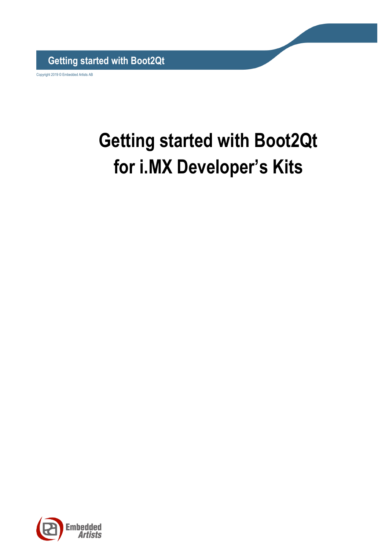**Getting started with Boot2Qt**

Copyright 2019 © Embedded Artists AB

# **Getting started with Boot2Qt for i.MX Developer's Kits**

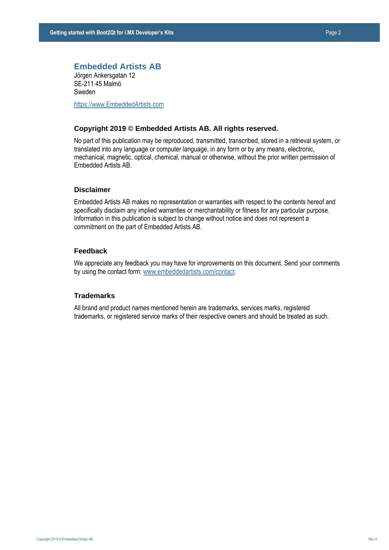#### **Embedded Artists AB**

Jörgen Ankersgatan 12 SE-211 45 Malmö Sweden

[https://www.EmbeddedArtists.com](https://www.embeddedartists.com/)

#### **Copyright 2019 © Embedded Artists AB. All rights reserved.**

No part of this publication may be reproduced, transmitted, transcribed, stored in a retrieval system, or translated into any language or computer language, in any form or by any means, electronic, mechanical, magnetic, optical, chemical, manual or otherwise, without the prior written permission of Embedded Artists AB.

### **Disclaimer**

Embedded Artists AB makes no representation or warranties with respect to the contents hereof and specifically disclaim any implied warranties or merchantability or fitness for any particular purpose. Information in this publication is subject to change without notice and does not represent a commitment on the part of Embedded Artists AB.

#### **Feedback**

We appreciate any feedback you may have for improvements on this document. Send your comments by using the contact form: www.embeddedartists.com/contact.

#### **Trademarks**

All brand and product names mentioned herein are trademarks, services marks, registered trademarks, or registered service marks of their respective owners and should be treated as such.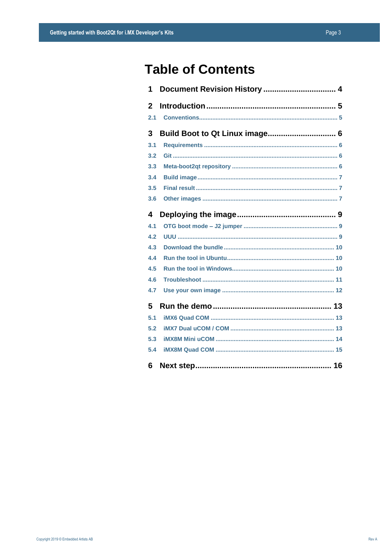### **Table of Contents**

| 1            | Document Revision History  4 |
|--------------|------------------------------|
| $\mathbf{p}$ |                              |
| 2.1          |                              |
| 3            |                              |
| 3.1          |                              |
| 3.2          |                              |
| 3.3          |                              |
| 3.4          |                              |
| 3.5          |                              |
| 3.6          |                              |
| 4            |                              |
| 4.1          |                              |
| 4.2          |                              |
| 4.3          |                              |
| 4.4          |                              |
| 4.5          |                              |
| 4.6          |                              |
| 4.7          |                              |
| 5            |                              |
| 5.1          |                              |
| 5.2          |                              |
| 5.3          |                              |
| 5.4          |                              |
| 6            |                              |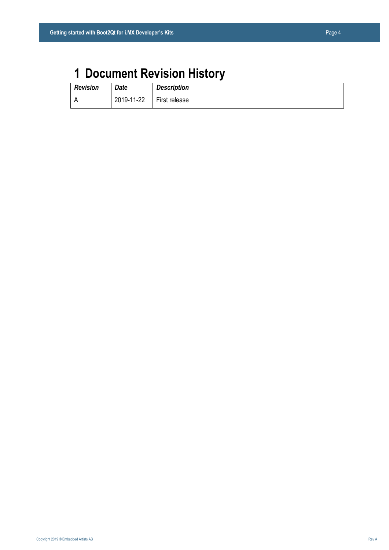## <span id="page-3-0"></span>**1 Document Revision History**

| <b>Revision</b> | <b>Date</b> | <b>Description</b> |
|-----------------|-------------|--------------------|
|                 | 2019-11-22  | First release      |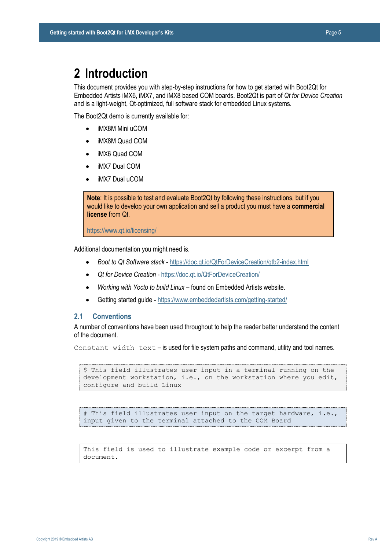### <span id="page-4-0"></span>**2 Introduction**

This document provides you with step-by-step instructions for how to get started with Boot2Qt for Embedded Artists iMX6, iMX7, and iMX8 based COM boards. Boot2Qt is part of *Qt for Device Creation* and is a light-weight, Qt-optimized, full software stack for embedded Linux systems.

The Boot2Qt demo is currently available for:

- iMX8M Mini uCOM
- iMX8M Quad COM
- iMX6 Quad COM
- iMX7 Dual COM
- iMX7 Dual uCOM

**Note**: It is possible to test and evaluate Boot2Qt by following these instructions, but if you would like to develop your own application and sell a product you must have a **commercial license** from Qt.

<https://www.qt.io/licensing/>

Additional documentation you might need is.

- *Boot to Qt Software stack* <https://doc.qt.io/QtForDeviceCreation/qtb2-index.html>
- *Qt for Device Creation*  <https://doc.qt.io/QtForDeviceCreation/>
- *Working with Yocto to build Linux* found on Embedded Artists website.
- Getting started guide <https://www.embeddedartists.com/getting-started/>

#### <span id="page-4-1"></span>**2.1 Conventions**

A number of conventions have been used throughout to help the reader better understand the content of the document.

Constant width text – is used for file system paths and command, utility and tool names.

```
$ This field illustrates user input in a terminal running on the 
development workstation, i.e., on the workstation where you edit, 
configure and build Linux
```
# This field illustrates user input on the target hardware, i.e., input given to the terminal attached to the COM Board

This field is used to illustrate example code or excerpt from a document.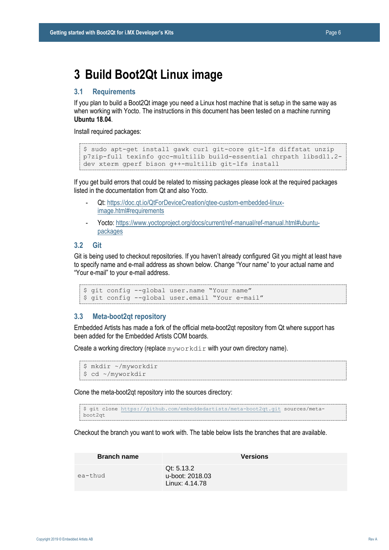### <span id="page-5-0"></span>**3 Build Boot2Qt Linux image**

#### <span id="page-5-1"></span>**3.1 Requirements**

If you plan to build a Boot2Qt image you need a Linux host machine that is setup in the same way as when working with Yocto. The instructions in this document has been tested on a machine running **Ubuntu 18.04**.

Install required packages:

```
$ sudo apt-get install gawk curl git-core git-lfs diffstat unzip 
p7zip-full texinfo gcc-multilib build-essential chrpath libsdl1.2-
dev xterm gperf bison g++-multilib git-lfs install
```
If you get build errors that could be related to missing packages please look at the required packages listed in the documentation from Qt and also Yocto.

- Qt: [https://doc.qt.io/QtForDeviceCreation/qtee-custom-embedded-linux](https://doc.qt.io/QtForDeviceCreation/qtee-custom-embedded-linux-image.html#requirements)[image.html#requirements](https://doc.qt.io/QtForDeviceCreation/qtee-custom-embedded-linux-image.html#requirements)
- Yocto[: https://www.yoctoproject.org/docs/current/ref-manual/ref-manual.html#ubuntu](https://www.yoctoproject.org/docs/current/ref-manual/ref-manual.html#ubuntu-packages)[packages](https://www.yoctoproject.org/docs/current/ref-manual/ref-manual.html#ubuntu-packages)

#### <span id="page-5-2"></span>**3.2 Git**

Git is being used to checkout repositories. If you haven't already configured Git you might at least have to specify name and e-mail address as shown below. Change "Your name" to your actual name and "Your e-mail" to your e-mail address.

```
$ git config --global user.name "Your name"
$ git config --global user.email "Your e-mail"
```
#### <span id="page-5-3"></span>**3.3 Meta-boot2qt repository**

Embedded Artists has made a fork of the official meta-boot2qt repository from Qt where support has been added for the Embedded Artists COM boards.

Create a working directory (replace  $m_y w \circ r$  kdir with your own directory name).

```
$ mkdir ~/myworkdir
$ cd ~/myworkdir
```
Clone the meta-boot2qt repository into the sources directory:

\$ git clone<https://github.com/embeddedartists/meta-boot2qt.git> sources/metaboot2qt

Checkout the branch you want to work with. The table below lists the branches that are available.

| <b>Branch name</b> | <b>Versions</b>                                 |
|--------------------|-------------------------------------------------|
| ea-thud            | Qt: 5.13.2<br>u-boot: 2018.03<br>Linux: 4.14.78 |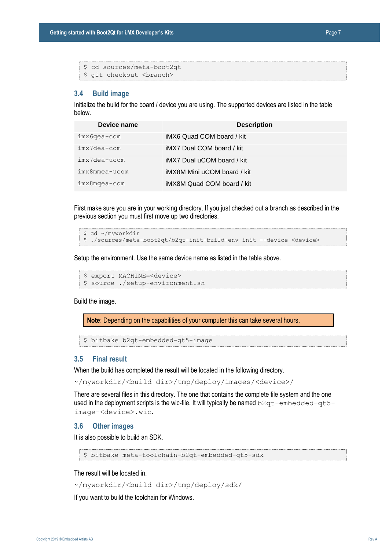| \$ cd sources/meta-boot2qt        |
|-----------------------------------|
| \$ qit checkout <branch></branch> |

#### <span id="page-6-0"></span>**3.4 Build image**

Initialize the build for the board / device you are using. The supported devices are listed in the table below.

| Device name     | <b>Description</b>          |
|-----------------|-----------------------------|
| $imx6qea-com$   | iMX6 Quad COM board / kit   |
| imx7dea-com     | iMX7 Dual COM board / kit   |
| imx7dea-ucom    | iMX7 Dual uCOM board / kit  |
| imx8mmea-ucom   | iMX8M Mini uCOM board / kit |
| $imx8$ mqea-com | iMX8M Quad COM board / kit  |

First make sure you are in your working directory. If you just checked out a branch as described in the previous section you must first move up two directories.

```
$ cd ~/myworkdir
$ ./sources/meta-boot2qt/b2qt-init-build-env init --device <device>
```
Setup the environment. Use the same device name as listed in the table above.

```
$ export MACHINE=<device>
$ source ./setup-environment.sh
```
Build the image.

**Note**: Depending on the capabilities of your computer this can take several hours.

\$ bitbake b2qt-embedded-qt5-image

#### <span id="page-6-1"></span>**3.5 Final result**

When the build has completed the result will be located in the following directory.

~/myworkdir/<build dir>/tmp/deploy/images/<device>/

There are several files in this directory. The one that contains the complete file system and the one used in the deployment scripts is the wic-file. It will typically be named  $b2qt$ -embedded-qt5image-<device>.wic.

#### <span id="page-6-2"></span>**3.6 Other images**

It is also possible to build an SDK.

\$ bitbake meta-toolchain-b2qt-embedded-qt5-sdk

The result will be located in.

```
~/myworkdir/<build dir>/tmp/deploy/sdk/
```
If you want to build the toolchain for Windows.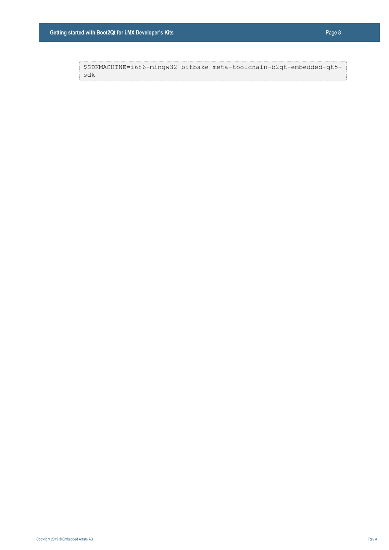\$SDKMACHINE=i686-mingw32 bitbake meta-toolchain-b2qt-embedded-qt5 sdk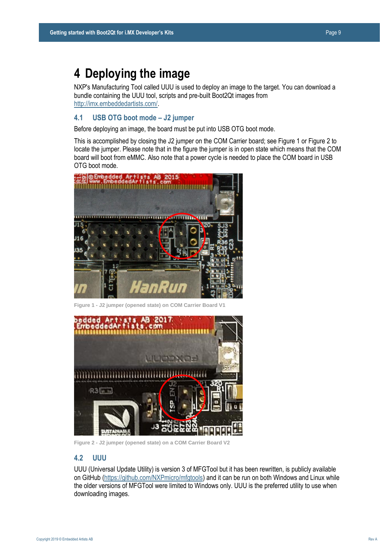### <span id="page-8-0"></span>**4 Deploying the image**

NXP's Manufacturing Tool called UUU is used to deploy an image to the target. You can download a bundle containing the UUU tool, scripts and pre-built Boot2Qt images from [http://imx.embeddedartists.com/.](http://imx.embeddedartists.com/) 

### <span id="page-8-1"></span>**4.1 USB OTG boot mode – J2 jumper**

Before deploying an image, the board must be put into USB OTG boot mode.

This is accomplished by closing the J2 jumper on the COM Carrier board; see Figure 1 or Figure 2 to locate the jumper. Please note that in the figure the jumper is in open state which means that the COM board will boot from eMMC. Also note that a power cycle is needed to place the COM board in USB OTG boot mode.



**Figure 1 - J2 jumper (opened state) on COM Carrier Board V<sup>2</sup>** 



**Figure 2 - J2 jumper (opened state) on a COM Carrier Board V2**

#### <span id="page-8-2"></span>**4.2 UUU**

UUU (Universal Update Utility) is version 3 of MFGTool but it has been rewritten, is publicly available on GitHub [\(https://github.com/NXPmicro/mfgtools\)](https://github.com/NXPmicro/mfgtools) and it can be run on both Windows and Linux while the older versions of MFGTool were limited to Windows only. UUU is the preferred utility to use when downloading images.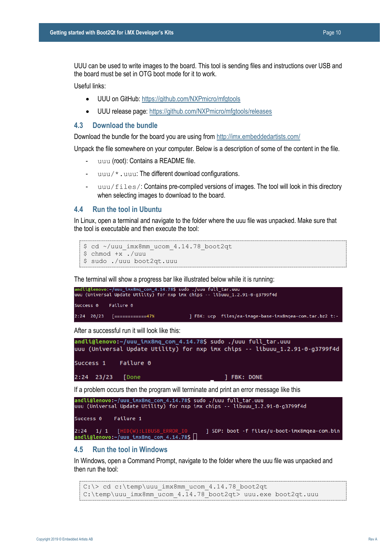UUU can be used to write images to the board. This tool is sending files and instructions over USB and the board must be set in OTG boot mode for it to work.

Useful links:

- UUU on GitHub:<https://github.com/NXPmicro/mfgtools>
- UUU release page: <https://github.com/NXPmicro/mfgtools/releases>

#### <span id="page-9-0"></span>**4.3 Download the bundle**

Download the bundle for the board you are using fro[m http://imx.embeddedartists.com/](http://imx.embeddedartists.com/)

Unpack the file somewhere on your computer. Below is a description of some of the content in the file.

- uuu (root): Contains a README file.
- uuu/\*.uuu: The different download configurations.
- $uuu/files/$ : Contains pre-compiled versions of images. The tool will look in this directory when selecting images to download to the board.

#### <span id="page-9-1"></span>**4.4 Run the tool in Ubuntu**

In Linux, open a terminal and navigate to the folder where the uuu file was unpacked. Make sure that the tool is executable and then execute the tool:

```
$ cd ~/uuu_imx8mm_ucom_4.14.78_boot2qt
$ chmod +x ./uuu
$ sudo ./uuu boot2qt.uuu
```
The terminal will show a progress bar like illustrated below while it is running:



After a successful run it will look like this:

```
andli@lenovo:~/uuu_imx8mq_com_4.14.78$ sudo ./uuu full_tar.uuu
uuu (Universal Update Utility) for nxp imx chips -- libuuu_1.2.91-0-g3799f4d
Success 1
            Failure 0
2:24 23/23 [Done
                                          ] FBK: DONE
```
If a problem occurs then the program will terminate and print an error message like this

```
andli@lenovo:~/uuu_imx8mq_com_4.14.78$ sudo ./uuu full_tar.uuu<br>uuu (Universal Update Utility) for nxp imx chips -- libuuu_1.2.91-0-g3799f4d
Success 0
                Failure 1
2:24 1/ 1 [HID(W):LIBUSB_ERROR_IO
                                                       ] SDP: boot -f files/u-boot-imx8mqea-com.bin
andli@lenovo:~/uuu imx8mg com 4.14.78$
```
#### <span id="page-9-2"></span>**4.5 Run the tool in Windows**

In Windows, open a Command Prompt, navigate to the folder where the uuu file was unpacked and then run the tool:

```
C:\> cd c:\temp\uuu imx8mm ucom 4.14.78 boot2qt
C:\temp\uuu imx8mm ucom 4.14.78 boot2qt> uuu.exe boot2qt.uuu
```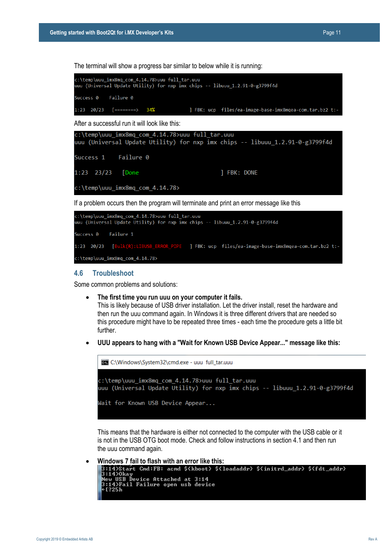The terminal will show a progress bar similar to below while it is running:



If a problem occurs then the program will terminate and print an error message like this

```
::\temp\uuu imx8mq com 4.14.78>uuu full tar.uuu
uuu (Universal Update Utility) for nxp \overline{im} chips -- libuuu 1.2.91-0-g3799f4d
             Failure 1
Success 0
1:23  20/23   [Bulk(R):LIBUSB_ERROR_PIPE
                                            ] FBK: ucp files/ea-image-base-imx8mqea-com.tar.bz2 t:-
c:\temp\uuu_imx8mq_com_4.14.78>
```
#### <span id="page-10-0"></span>**4.6 Troubleshoot**

Some common problems and solutions:

• **The first time you run uuu on your computer it fails.**

This is likely because of USB driver installation. Let the driver install, reset the hardware and then run the uuu command again. In Windows it is three different drivers that are needed so this procedure might have to be repeated three times - each time the procedure gets a little bit further.

• **UUU appears to hang with a "Wait for Known USB Device Appear..." message like this:**



This means that the hardware is either not connected to the computer with the USB cable or it is not in the USB OTG boot mode. Check and follow instructions in section [4.1 a](#page-8-1)nd then run the uuu command again.

```
Windows 7 fail to flash with an error like this:<br>3:14>Start Cmd:FB: acmd $<kboot> $<1oadaddr> $<initrd_addr> $<fdt_addr>
  3:1426tart Cmd:rb: acmd $\KDOOt2<br>3:1420kay<br>New USB Device Attached at 3:14<br>3:142Fail Failure open usb device<br>4[?25h
```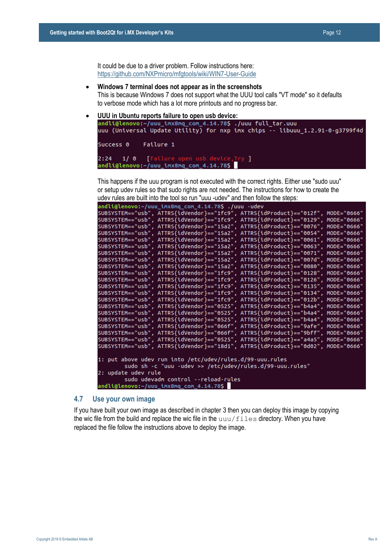- **Windows 7 terminal does not appear as in the screenshots** This is because Windows 7 does not support what the UUU tool calls "VT mode" so it defaults to verbose mode which has a lot more printouts and no progress bar.
- **UUU in Ubuntu reports failure to open usb device:** uuu (Universal Update Utility) for nxp imx chips -- libuuu\_1.2.91-0-g3799f4d Success 0 Failure 1 [Failure open usb device, Try ]  $2:24$  $1/0$ andli@lenovo:~/uuu\_imx8mq\_com\_4.14.78\$

This happens if the uuu program is not executed with the correct rights. Either use "sudo uuu" or setup udev rules so that sudo rights are not needed. The instructions for how to create the udev rules are built into the tool so run "uuu -udev" and then follow the steps:

| andli@lenovo:~/uuu_imx8mq_com_4.14.78\$ ./uuu -udev                              |             |
|----------------------------------------------------------------------------------|-------------|
| SUBSYSTEM=="usb", ATTRS{idVendor}=="1fc9", ATTRS{idProduct}=="012f", MODE="0666" |             |
| SUBSYSTEM=="usb", ATTRS{idVendor}=="1fc9", ATTRS{idProduct}=="0129", MODE="0666" |             |
| SUBSYSTEM=="usb", ATTRS{idVendor}=="15a2", ATTRS{idProduct}=="0076", MODE="0666" |             |
| SUBSYSTEM=="usb", ATTRS{idVendor}=="15a2", ATTRS{idProduct}=="0054", MODE="0666" |             |
| SUBSYSTEM=="usb", ATTRS{idVendor}=="15a2", ATTRS{idProduct}=="0061", MODE="0666" |             |
| SUBSYSTEM=="usb", ATTRS{idVendor}=="15a2", ATTRS{idProduct}=="0063", MODE="0666" |             |
| SUBSYSTEM=="usb", ATTRS{idVendor}=="15a2", ATTRS{idProduct}=="0071", MODE="0666" |             |
| SUBSYSTEM=="usb", ATTRS{idVendor}=="15a2", ATTRS{idProduct}=="007d", MODE="0666" |             |
| SUBSYSTEM=="usb", ATTRS{idVendor}=="15a2", ATTRS{idProduct}=="0080",             | MODE="0666" |
| SUBSYSTEM=="usb", ATTRS{idVendor}=="1fc9", ATTRS{idProduct}=="0128",             | MODE="0666" |
| SUBSYSTEM=="usb", ATTRS{idVendor}=="1fc9", ATTRS{idProduct}=="0126", MODE="0666" |             |
| SUBSYSTEM=="usb", ATTRS{idVendor}=="1fc9", ATTRS{idProduct}=="0135", MODE="0666" |             |
| SUBSYSTEM=="usb", ATTRS{idVendor}=="1fc9", ATTRS{idProduct}=="0134", MODE="0666" |             |
| SUBSYSTEM=="usb", ATTRS{idVendor}=="1fc9", ATTRS{idProduct}=="012b", MODE="0666" |             |
| SUBSYSTEM=="usb", ATTRS{idVendor}=="0525", ATTRS{idProduct}=="b4a4", MODE="0666" |             |
| SUBSYSTEM=="usb", ATTRS{idVendor}=="0525", ATTRS{idProduct}=="b4a4", MODE="0666" |             |
| SUBSYSTEM=="usb", ATTRS{idVendor}=="0525", ATTRS{idProduct}=="b4a4", MODE="0666" |             |
| SUBSYSTEM=="usb", ATTRS{idVendor}=="066f", ATTRS{idProduct}=="9afe", MODE="0666" |             |
| SUBSYSTEM=="usb", ATTRS{idVendor}=="066f", ATTRS{idProduct}=="9bff", MODE="0666" |             |
| SUBSYSTEM=="usb", ATTRS{idVendor}=="0525", ATTRS{idProduct}=="a4a5", MODE="0666" |             |
| SUBSYSTEM=="usb", ATTRS{idVendor}=="18d1", ATTRS{idProduct}=="0d02", MODE="0666" |             |
|                                                                                  |             |
| 1: put above udev run into /etc/udev/rules.d/99-uuu.rules                        |             |
| sudo sh -c "uuu -udev >> /etc/udev/rules.d/99-uuu.rules"                         |             |
| 2: update udev rule                                                              |             |
| sudo udevadm control --reload-rules                                              |             |
| andli@lenovo:~/uuu_imx8mq_com_4.14.78\$                                          |             |

#### <span id="page-11-0"></span>**4.7 Use your own image**

If you have built your own image as described in chapter [3 t](#page-5-0)hen you can deploy this image by copying the wic file from the build and replace the wic file in the  $uu \vee f$  iles directory. When you have replaced the file follow the instructions above to deploy the image.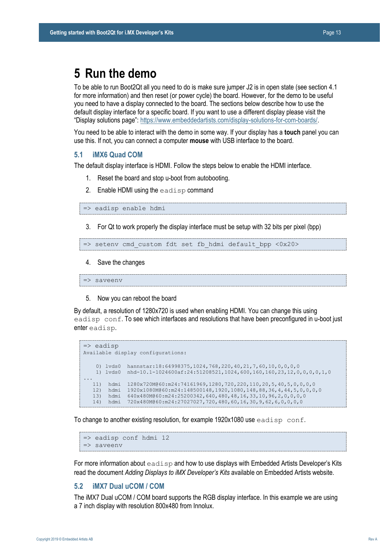### <span id="page-12-0"></span>**5 Run the demo**

To be able to run Boot2Qt all you need to do is make sure jumper J2 is in open state (see sectio[n 4.1](#page-8-1)  for more information) and then reset (or power cycle) the board. However, for the demo to be useful you need to have a display connected to the board. The sections below describe how to use the default display interface for a specific board. If you want to use a different display please visit the "Display solutions page": [https://www.embeddedartists.com/display-solutions-for-com-boards/.](https://www.embeddedartists.com/display-solutions-for-com-boards/)

You need to be able to interact with the demo in some way. If your display has a **touch** panel you can use this. If not, you can connect a computer **mouse** with USB interface to the board.

#### <span id="page-12-1"></span>**5.1 iMX6 Quad COM**

The default display interface is HDMI. Follow the steps below to enable the HDMI interface.

- 1. Reset the board and stop u-boot from autobooting.
- 2. Enable HDMI using the eadisp command

=> eadisp enable hdmi

3. For Qt to work properly the display interface must be setup with 32 bits per pixel (bpp)

```
=> setenv cmd_custom fdt set fb_hdmi default_bpp <0x20>
```
4. Save the changes

=> saveenv

5. Now you can reboot the board

By default, a resolution of 1280x720 is used when enabling HDMI. You can change this using eadisp conf. To see which interfaces and resolutions that have been preconfigured in u-boot just enter eadisp.

```
=> eadisp
Available display configurations:
     0) lvds0 hannstar:18:64998375,1024,768,220,40,21,7,60,10,0,0,0,0
    1) lvds0 nhd-10.1-1024600af:24:51208521,1024,600,160,160,23,12,0,0,0,0,1,0
...
   11) hdmi 1280x720M@60:m24:74161969,1280,720,220,110,20,5,40,5,0,0,0,0
   12) hdmi 1920x1080M@60:m24:148500148,1920,1080,148,88,36,4,44,5,0,0,0,0
 13) hdmi 640x480M@60:m24:25200342,640,480,48,16,33,10,96,2,0,0,0,0
 14) hdmi 720x480M@60:m24:27027027,720,480,60,16,30,9,62,6,0,0,0,0
```
To change to another existing resolution, for example  $1920x1080$  use eadisp conf.

=> eadisp conf hdmi 12 => saveenv

For more information about  $e^{i\phi}$  and how to use displays with Embedded Artists Developer's Kits read the document *Adding Displays to iMX Developer's Kits* available on Embedded Artists website.

#### <span id="page-12-2"></span>**5.2 iMX7 Dual uCOM / COM**

The iMX7 Dual uCOM / COM board supports the RGB display interface. In this example we are using a 7 inch display with resolution 800x480 from Innolux.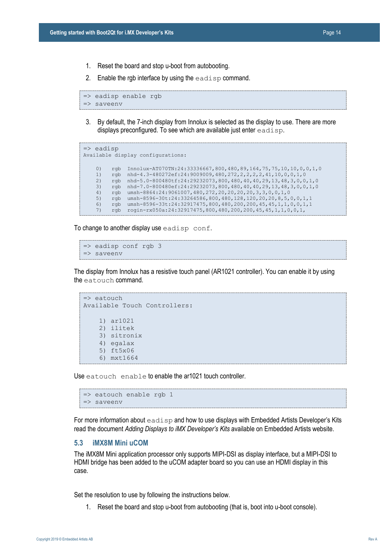- 1. Reset the board and stop u-boot from autobooting.
- 2. Enable the rgb interface by using the  $e$ adisp command.

```
=> eadisp enable rgb 
=> saveenv
```
3. By default, the 7-inch display from Innolux is selected as the display to use. There are more displays preconfigured. To see which are available just enter eadisp.

```
=> eadisp
Available display configurations:
    0) rgb Innolux-AT070TN:24:33336667,800,480,89,164,75,75,10,10,0,0,0,1,0
     1) rgb nhd-4.3-480272ef:24:9009009,480,272,2,2,2,2,41,10,0,0,1,0
    2) rgb nhd-5.0-800480tf:24:29232073,800,480,40,40,29,13,48,3,0,0,1,0
     3) rgb nhd-7.0-800480ef:24:29232073,800,480,40,40,29,13,48,3,0,0,1,0
    4) rgb umsh-8864:24:9061007,480,272,20,20,20,20,3,3,0,0,1,0<br>5) rgb umsh-8596-30t:24:33264586.800.480.128.120.20.20.8.5.
        rgb umsh-8596-30t:24:33264586,800,480,128,120,20,20,20,8,5,0,0,1,1
     6) rgb umsh-8596-33t:24:32917475,800,480,200,200,45,45,1,1,0,0,1,1
     7) rgb rogin-rx050a:24:32917475,800,480,200,200,45,45,1,1,0,0,1,
```
To change to another display use eadisp conf.

```
\Rightarrow eadisp conf rgb 3
=> saveenv
```
The display from Innolux has a resistive touch panel (AR1021 controller). You can enable it by using the eatouch command.

```
=> eatouch
Available Touch Controllers:
     1) ar1021
     2) ilitek
     3) sitronix
     4) egalax
     5) ft5x06
     6) mxt1664
```
Use eatouch enable to enable the ar1021 touch controller.

```
\Rightarrow eatouch enable rgb 1
=> saveenv
```
For more information about  $e$  adisp and how to use displays with Embedded Artists Developer's Kits read the document *Adding Displays to iMX Developer's Kits* available on Embedded Artists website.

#### <span id="page-13-0"></span>**5.3 iMX8M Mini uCOM**

The iMX8M Mini application processor only supports MIPI-DSI as display interface, but a MIPI-DSI to HDMI bridge has been added to the uCOM adapter board so you can use an HDMI display in this case.

Set the resolution to use by following the instructions below.

1. Reset the board and stop u-boot from autobooting (that is, boot into u-boot console).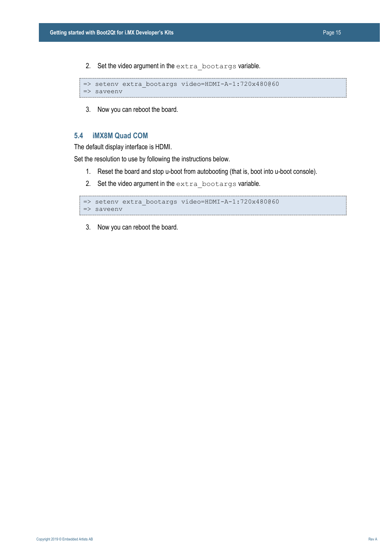2. Set the video argument in the extra bootargs variable.

```
=> setenv extra_bootargs video=HDMI-A-1:720x480@60
=> saveenv
```
3. Now you can reboot the board.

#### <span id="page-14-0"></span>**5.4 iMX8M Quad COM**

The default display interface is HDMI.

Set the resolution to use by following the instructions below.

- 1. Reset the board and stop u-boot from autobooting (that is, boot into u-boot console).
- 2. Set the video argument in the extra bootargs variable.

```
=> setenv extra_bootargs video=HDMI-A-1:720x480@60
=> saveenv
```
3. Now you can reboot the board.